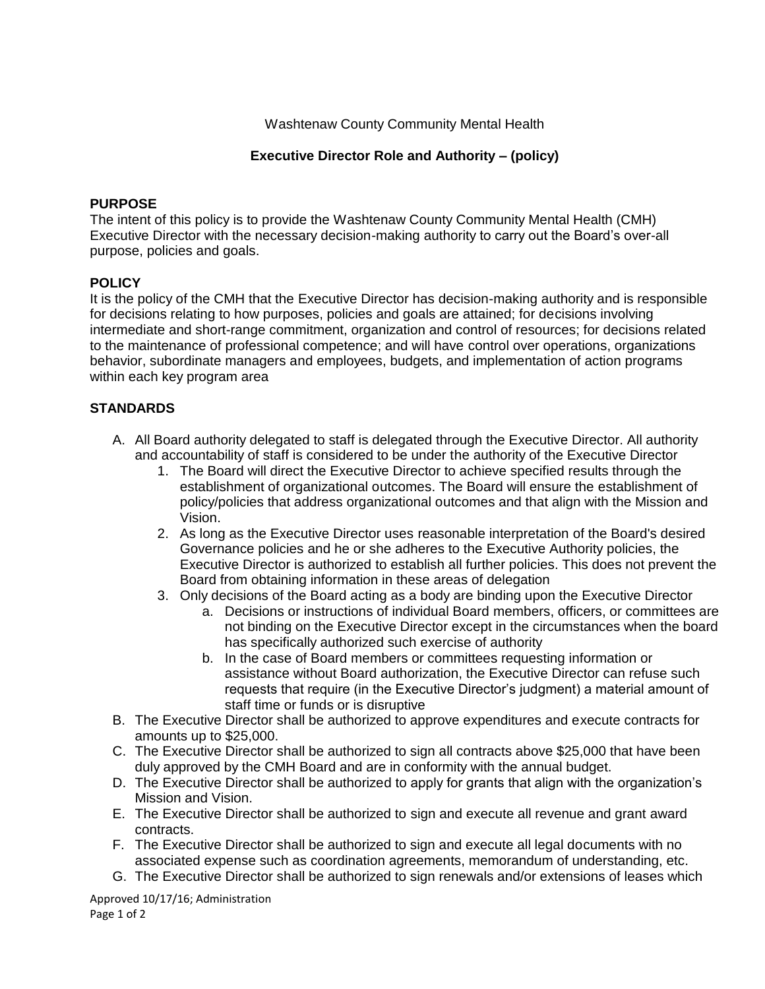Washtenaw County Community Mental Health

### **Executive Director Role and Authority – (policy)**

### **PURPOSE**

The intent of this policy is to provide the Washtenaw County Community Mental Health (CMH) Executive Director with the necessary decision-making authority to carry out the Board's over-all purpose, policies and goals.

### **POLICY**

It is the policy of the CMH that the Executive Director has decision-making authority and is responsible for decisions relating to how purposes, policies and goals are attained; for decisions involving intermediate and short-range commitment, organization and control of resources; for decisions related to the maintenance of professional competence; and will have control over operations, organizations behavior, subordinate managers and employees, budgets, and implementation of action programs within each key program area

# **STANDARDS**

- A. All Board authority delegated to staff is delegated through the Executive Director. All authority and accountability of staff is considered to be under the authority of the Executive Director
	- 1. The Board will direct the Executive Director to achieve specified results through the establishment of organizational outcomes. The Board will ensure the establishment of policy/policies that address organizational outcomes and that align with the Mission and Vision.
	- 2. As long as the Executive Director uses reasonable interpretation of the Board's desired Governance policies and he or she adheres to the Executive Authority policies, the Executive Director is authorized to establish all further policies. This does not prevent the Board from obtaining information in these areas of delegation
	- 3. Only decisions of the Board acting as a body are binding upon the Executive Director
		- a. Decisions or instructions of individual Board members, officers, or committees are not binding on the Executive Director except in the circumstances when the board has specifically authorized such exercise of authority
		- b. In the case of Board members or committees requesting information or assistance without Board authorization, the Executive Director can refuse such requests that require (in the Executive Director's judgment) a material amount of staff time or funds or is disruptive
- B. The Executive Director shall be authorized to approve expenditures and execute contracts for amounts up to \$25,000.
- C. The Executive Director shall be authorized to sign all contracts above \$25,000 that have been duly approved by the CMH Board and are in conformity with the annual budget.
- D. The Executive Director shall be authorized to apply for grants that align with the organization's Mission and Vision.
- E. The Executive Director shall be authorized to sign and execute all revenue and grant award contracts.
- F. The Executive Director shall be authorized to sign and execute all legal documents with no associated expense such as coordination agreements, memorandum of understanding, etc.
- G. The Executive Director shall be authorized to sign renewals and/or extensions of leases which

Approved 10/17/16; Administration Page 1 of 2